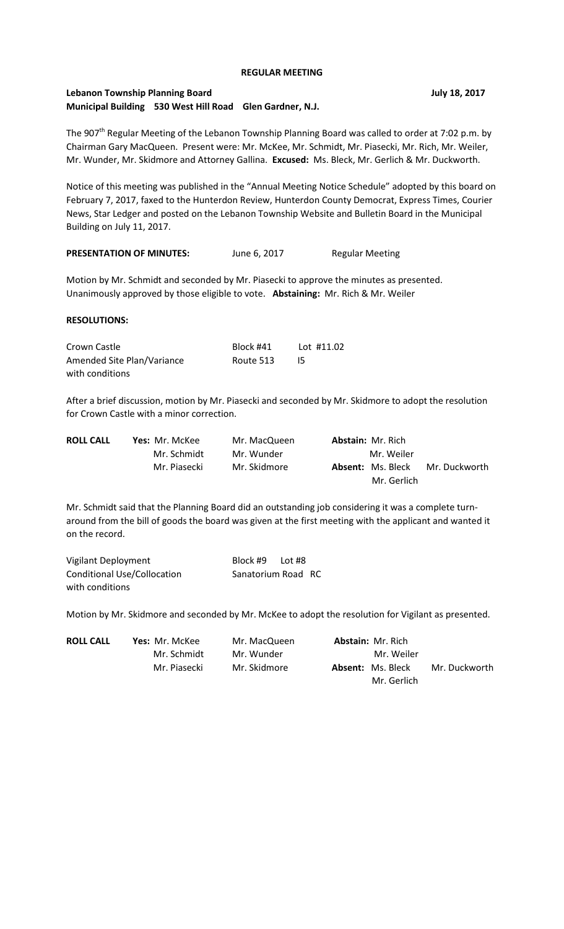## **REGULAR MEETING**

# **Lebanon Township Planning Board July 18, 2017 Municipal Building 530 West Hill Road Glen Gardner, N.J.**

The 907<sup>th</sup> Regular Meeting of the Lebanon Township Planning Board was called to order at 7:02 p.m. by Chairman Gary MacQueen. Present were: Mr. McKee, Mr. Schmidt, Mr. Piasecki, Mr. Rich, Mr. Weiler, Mr. Wunder, Mr. Skidmore and Attorney Gallina. **Excused:** Ms. Bleck, Mr. Gerlich & Mr. Duckworth.

Notice of this meeting was published in the "Annual Meeting Notice Schedule" adopted by this board on February 7, 2017, faxed to the Hunterdon Review, Hunterdon County Democrat, Express Times, Courier News, Star Ledger and posted on the Lebanon Township Website and Bulletin Board in the Municipal Building on July 11, 2017.

| <b>PRESENTATION OF MINUTES:</b><br><b>Regular Meeting</b><br>June 6, 2017 |  |
|---------------------------------------------------------------------------|--|
|---------------------------------------------------------------------------|--|

Motion by Mr. Schmidt and seconded by Mr. Piasecki to approve the minutes as presented. Unanimously approved by those eligible to vote. **Abstaining:** Mr. Rich & Mr. Weiler

### **RESOLUTIONS:**

| Crown Castle               | Block #41 | Lot #11.02 |
|----------------------------|-----------|------------|
| Amended Site Plan/Variance | Route 513 |            |
| with conditions            |           |            |

After a brief discussion, motion by Mr. Piasecki and seconded by Mr. Skidmore to adopt the resolution for Crown Castle with a minor correction.

| <b>ROLL CALL</b> | <b>Yes:</b> Mr. McKee | Mr. MacQueen | <b>Abstain: Mr. Rich</b> |               |
|------------------|-----------------------|--------------|--------------------------|---------------|
|                  | Mr. Schmidt           | Mr. Wunder   | Mr. Weiler               |               |
|                  | Mr. Piasecki          | Mr. Skidmore | <b>Absent: Ms. Bleck</b> | Mr. Duckworth |
|                  |                       |              | Mr. Gerlich              |               |

Mr. Schmidt said that the Planning Board did an outstanding job considering it was a complete turnaround from the bill of goods the board was given at the first meeting with the applicant and wanted it on the record.

| Vigilant Deployment                | Block #9           | Lot #8 |  |
|------------------------------------|--------------------|--------|--|
| <b>Conditional Use/Collocation</b> | Sanatorium Road RC |        |  |
| with conditions                    |                    |        |  |

Motion by Mr. Skidmore and seconded by Mr. McKee to adopt the resolution for Vigilant as presented.

| <b>ROLL CALL</b> | <b>Yes: Mr. McKee</b> | Mr. MacQueen | <b>Abstain: Mr. Rich</b> |               |
|------------------|-----------------------|--------------|--------------------------|---------------|
|                  | Mr. Schmidt           | Mr. Wunder   | Mr. Weiler               |               |
|                  | Mr. Piasecki          | Mr. Skidmore | <b>Absent: Ms. Bleck</b> | Mr. Duckworth |
|                  |                       |              | Mr. Gerlich              |               |